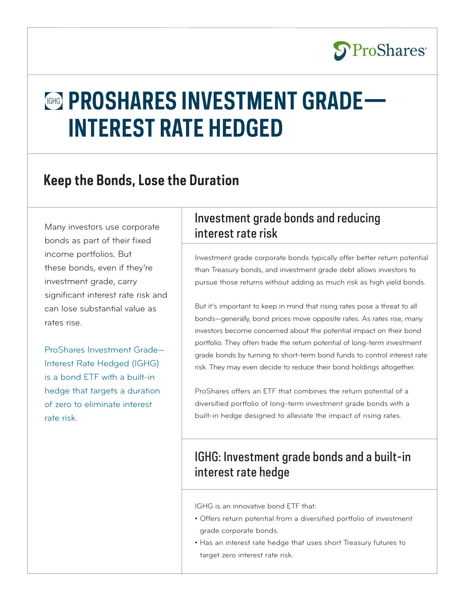

# **GHG PROSHARES INVESTMENT GRADE— INTEREST RATE HEDGED**

## **Keep the Bonds, Lose the Duration**

Many investors use corporate bonds as part of their fixed income portfolios. But these bonds, even if they're investment grade, carry significant interest rate risk and can lose substantial value as rates rise.

ProShares Investment Grade— Interest Rate Hedged (IGHG) is a bond ETF with a built-in hedge that targets a duration of zero to eliminate interest rate risk.

### Investment grade bonds and reducing interest rate risk

Investment grade corporate bonds typically offer better return potential than Treasury bonds, and investment grade debt allows investors to pursue those returns without adding as much risk as high yield bonds.

But it's important to keep in mind that rising rates pose a threat to all bonds—generally, bond prices move opposite rates. As rates rise, many investors become concerned about the potential impact on their bond portfolio. They often trade the return potential of long-term investment grade bonds by turning to short-term bond funds to control interest rate risk. They may even decide to reduce their bond holdings altogether.

ProShares offers an ETF that combines the return potential of a diversified portfolio of long-term investment grade bonds with a built-in hedge designed to alleviate the impact of rising rates.

### IGHG: Investment grade bonds and a built-in interest rate hedge

IGHG is an innovative bond ETF that:

- Offers return potential from a diversified portfolio of investment grade corporate bonds.
- Has an interest rate hedge that uses short Treasury futures to target zero interest rate risk.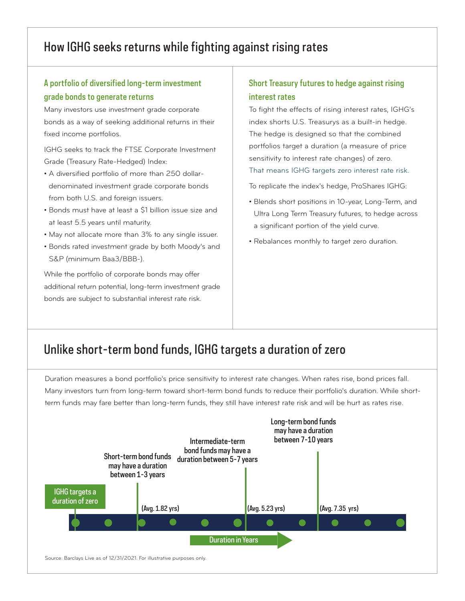### How IGHG seeks returns while fighting against rising rates

### A portfolio of diversified long-term investment grade bonds to generate returns

Many investors use investment grade corporate bonds as a way of seeking additional returns in their fixed income portfolios.

IGHG seeks to track the FTSE Corporate Investment Grade (Treasury Rate-Hedged) Index:

- A diversified portfolio of more than 250 dollardenominated investment grade corporate bonds from both U.S. and foreign issuers.
- Bonds must have at least a \$1 billion issue size and at least 5.5 years until maturity.
- May not allocate more than 3% to any single issuer.
- Bonds rated investment grade by both Moody's and S&P (minimum Baa3/BBB-).

While the portfolio of corporate bonds may offer additional return potential, long-term investment grade bonds are subject to substantial interest rate risk.

#### Short Treasury futures to hedge against rising interest rates

To fight the effects of rising interest rates, IGHG's index shorts U.S. Treasurys as a built-in hedge. The hedge is designed so that the combined portfolios target a duration (a measure of price sensitivity to interest rate changes) of zero.

That means IGHG targets zero interest rate risk.

To replicate the index's hedge, ProShares IGHG:

- Blends short positions in 10-year, Long-Term, and Ultra Long Term Treasury futures, to hedge across a significant portion of the yield curve.
- Rebalances monthly to target zero duration.

### Unlike short-term bond funds, IGHG targets a duration of zero

Duration measures a bond portfolio's price sensitivity to interest rate changes. When rates rise, bond prices fall. Many investors turn from long-term toward short-term bond funds to reduce their portfolio's duration. While shortterm funds may fare better than long-term funds, they still have interest rate risk and will be hurt as rates rise.

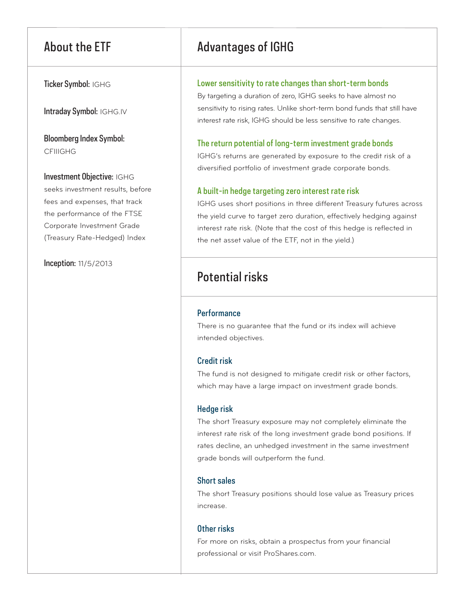Ticker Symbol: IGHG

Intraday Symbol: IGHG.IV

Bloomberg Index Symbol: CFIIIGHG

#### Investment Objective: IGHG

seeks investment results, before fees and expenses, that track the performance of the FTSE Corporate Investment Grade (Treasury Rate-Hedged) Index

Inception: 11/5/2013

### About the ETF Advantages of IGHG

#### Lower sensitivity to rate changes than short-term bonds

By targeting a duration of zero, IGHG seeks to have almost no sensitivity to rising rates. Unlike short-term bond funds that still have interest rate risk, IGHG should be less sensitive to rate changes.

#### The return potential of long-term investment grade bonds

IGHG's returns are generated by exposure to the credit risk of a diversified portfolio of investment grade corporate bonds.

#### A built-in hedge targeting zero interest rate risk

IGHG uses short positions in three different Treasury futures across the yield curve to target zero duration, effectively hedging against interest rate risk. (Note that the cost of this hedge is reflected in the net asset value of the ETF, not in the yield.)

### Potential risks

#### **Performance**

There is no guarantee that the fund or its index will achieve intended objectives.

#### Credit risk

The fund is not designed to mitigate credit risk or other factors, which may have a large impact on investment grade bonds.

#### Hedge risk

The short Treasury exposure may not completely eliminate the interest rate risk of the long investment grade bond positions. If rates decline, an unhedged investment in the same investment grade bonds will outperform the fund.

#### Short sales

The short Treasury positions should lose value as Treasury prices increase.

#### Other risks

For more on risks, obtain a prospectus from your financial professional or visit ProShares.com.